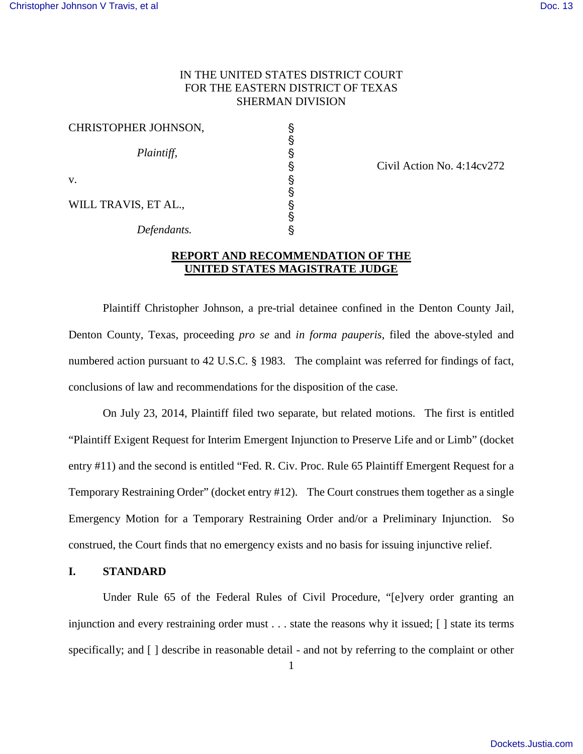# IN THE UNITED STATES DISTRICT COURT FOR THE EASTERN DISTRICT OF TEXAS SHERMAN DIVISION

| CHRISTOPHER JOHNSON, |   |
|----------------------|---|
| Plaintiff,           |   |
|                      | § |
| V.                   | § |
|                      | § |
| WILL TRAVIS, ET AL., | § |
|                      | § |
| Defendants.          |   |

Civil Action No. 4:14cv272

### **REPORT AND RECOMMENDATION OF THE UNITED STATES MAGISTRATE JUDGE**

Plaintiff Christopher Johnson, a pre-trial detainee confined in the Denton County Jail, Denton County, Texas, proceeding *pro se* and *in forma pauperis*, filed the above-styled and numbered action pursuant to 42 U.S.C. § 1983. The complaint was referred for findings of fact, conclusions of law and recommendations for the disposition of the case.

On July 23, 2014, Plaintiff filed two separate, but related motions. The first is entitled "Plaintiff Exigent Request for Interim Emergent Injunction to Preserve Life and or Limb" (docket entry #11) and the second is entitled "Fed. R. Civ. Proc. Rule 65 Plaintiff Emergent Request for a Temporary Restraining Order" (docket entry #12). The Court construes them together as a single Emergency Motion for a Temporary Restraining Order and/or a Preliminary Injunction. So construed, the Court finds that no emergency exists and no basis for issuing injunctive relief.

#### **I. STANDARD**

Under Rule 65 of the Federal Rules of Civil Procedure, "[e]very order granting an injunction and every restraining order must . . . state the reasons why it issued; [ ] state its terms specifically; and [ ] describe in reasonable detail - and not by referring to the complaint or other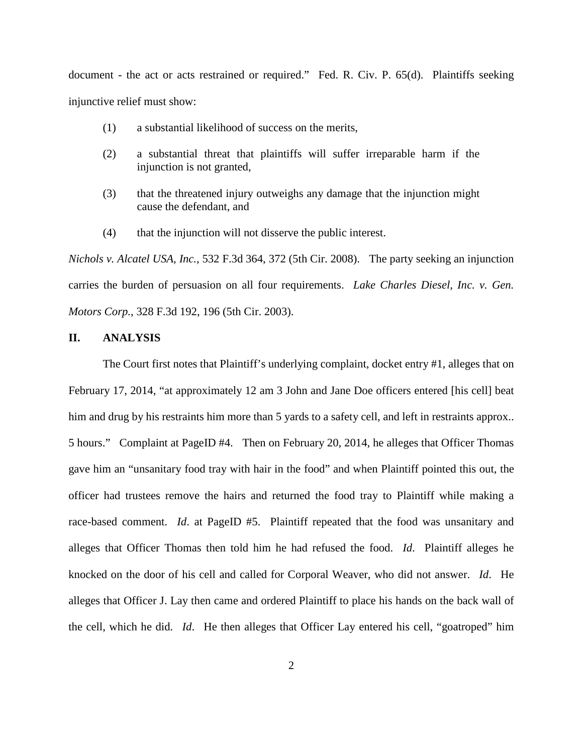document - the act or acts restrained or required." Fed. R. Civ. P. 65(d). Plaintiffs seeking injunctive relief must show:

- (1) a substantial likelihood of success on the merits,
- (2) a substantial threat that plaintiffs will suffer irreparable harm if the injunction is not granted,
- (3) that the threatened injury outweighs any damage that the injunction might cause the defendant, and
- (4) that the injunction will not disserve the public interest.

*Nichols v. Alcatel USA, Inc.*, 532 F.3d 364, 372 (5th Cir. 2008). The party seeking an injunction carries the burden of persuasion on all four requirements. *Lake Charles Diesel, Inc. v. Gen. Motors Corp.*, 328 F.3d 192, 196 (5th Cir. 2003).

#### **II. ANALYSIS**

The Court first notes that Plaintiff's underlying complaint, docket entry #1, alleges that on February 17, 2014, "at approximately 12 am 3 John and Jane Doe officers entered [his cell] beat him and drug by his restraints him more than 5 yards to a safety cell, and left in restraints approx... 5 hours." Complaint at PageID #4. Then on February 20, 2014, he alleges that Officer Thomas gave him an "unsanitary food tray with hair in the food" and when Plaintiff pointed this out, the officer had trustees remove the hairs and returned the food tray to Plaintiff while making a race-based comment. *Id*. at PageID #5. Plaintiff repeated that the food was unsanitary and alleges that Officer Thomas then told him he had refused the food. *Id*. Plaintiff alleges he knocked on the door of his cell and called for Corporal Weaver, who did not answer. *Id*. He alleges that Officer J. Lay then came and ordered Plaintiff to place his hands on the back wall of the cell, which he did. *Id*. He then alleges that Officer Lay entered his cell, "goatroped" him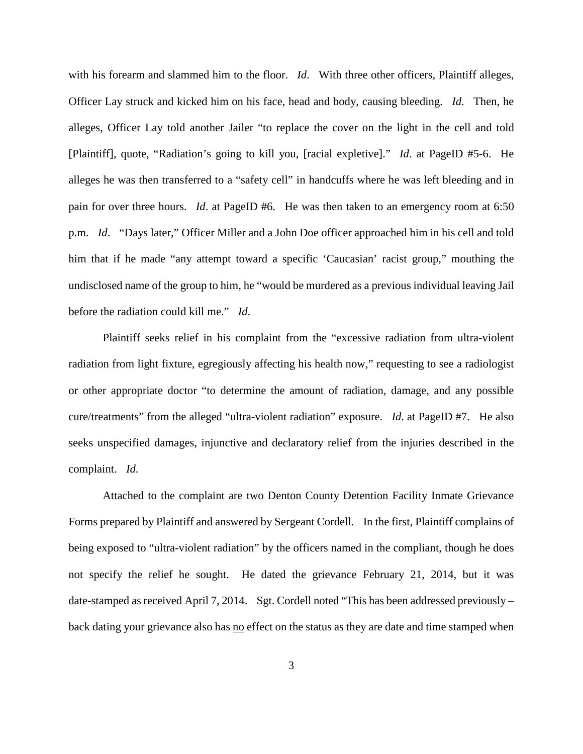with his forearm and slammed him to the floor. *Id*. With three other officers, Plaintiff alleges, Officer Lay struck and kicked him on his face, head and body, causing bleeding. *Id*. Then, he alleges, Officer Lay told another Jailer "to replace the cover on the light in the cell and told [Plaintiff], quote, "Radiation's going to kill you, [racial expletive]." *Id*. at PageID #5-6. He alleges he was then transferred to a "safety cell" in handcuffs where he was left bleeding and in pain for over three hours. *Id*. at PageID #6. He was then taken to an emergency room at 6:50 p.m. *Id*. "Days later," Officer Miller and a John Doe officer approached him in his cell and told him that if he made "any attempt toward a specific 'Caucasian' racist group," mouthing the undisclosed name of the group to him, he "would be murdered as a previous individual leaving Jail before the radiation could kill me." *Id*.

Plaintiff seeks relief in his complaint from the "excessive radiation from ultra-violent radiation from light fixture, egregiously affecting his health now," requesting to see a radiologist or other appropriate doctor "to determine the amount of radiation, damage, and any possible cure/treatments" from the alleged "ultra-violent radiation" exposure. *Id*. at PageID #7. He also seeks unspecified damages, injunctive and declaratory relief from the injuries described in the complaint. *Id*.

Attached to the complaint are two Denton County Detention Facility Inmate Grievance Forms prepared by Plaintiff and answered by Sergeant Cordell. In the first, Plaintiff complains of being exposed to "ultra-violent radiation" by the officers named in the compliant, though he does not specify the relief he sought. He dated the grievance February 21, 2014, but it was date-stamped as received April 7, 2014. Sgt. Cordell noted "This has been addressed previously – back dating your grievance also has no effect on the status as they are date and time stamped when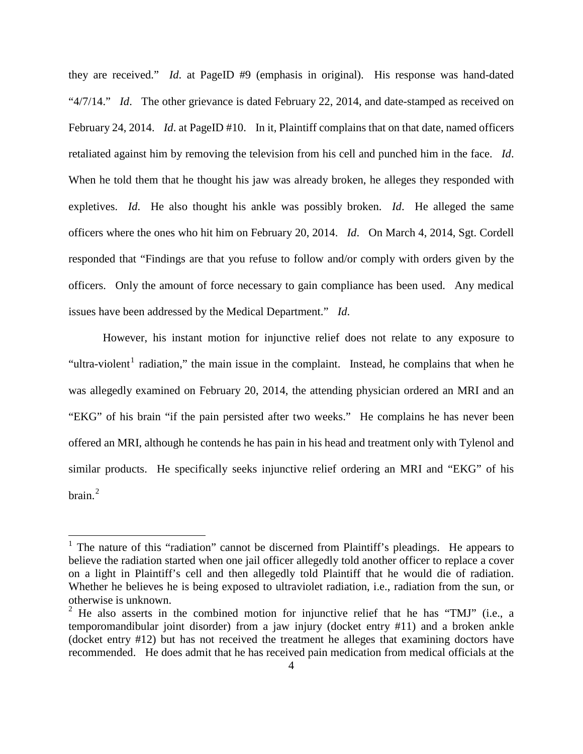they are received." *Id*. at PageID #9 (emphasis in original). His response was hand-dated "4/7/14." *Id.* The other grievance is dated February 22, 2014, and date-stamped as received on February 24, 2014. *Id.* at PageID #10. In it, Plaintiff complains that on that date, named officers retaliated against him by removing the television from his cell and punched him in the face. *Id*. When he told them that he thought his jaw was already broken, he alleges they responded with expletives. *Id*. He also thought his ankle was possibly broken. *Id*. He alleged the same officers where the ones who hit him on February 20, 2014. *Id*. On March 4, 2014, Sgt. Cordell responded that "Findings are that you refuse to follow and/or comply with orders given by the officers. Only the amount of force necessary to gain compliance has been used. Any medical issues have been addressed by the Medical Department." *Id*.

However, his instant motion for injunctive relief does not relate to any exposure to "ultra-violent<sup>[1](#page-3-0)</sup> radiation," the main issue in the complaint. Instead, he complains that when he was allegedly examined on February 20, 2014, the attending physician ordered an MRI and an "EKG" of his brain "if the pain persisted after two weeks." He complains he has never been offered an MRI, although he contends he has pain in his head and treatment only with Tylenol and similar products. He specifically seeks injunctive relief ordering an MRI and "EKG" of his brain. $2$ 

<u>.</u>

<span id="page-3-0"></span><sup>&</sup>lt;sup>1</sup> The nature of this "radiation" cannot be discerned from Plaintiff's pleadings. He appears to believe the radiation started when one jail officer allegedly told another officer to replace a cover on a light in Plaintiff's cell and then allegedly told Plaintiff that he would die of radiation. Whether he believes he is being exposed to ultraviolet radiation, i.e., radiation from the sun, or otherwise is unknown.

<span id="page-3-1"></span> $2$  He also asserts in the combined motion for injunctive relief that he has "TMJ" (i.e., a temporomandibular joint disorder) from a jaw injury (docket entry #11) and a broken ankle (docket entry #12) but has not received the treatment he alleges that examining doctors have recommended. He does admit that he has received pain medication from medical officials at the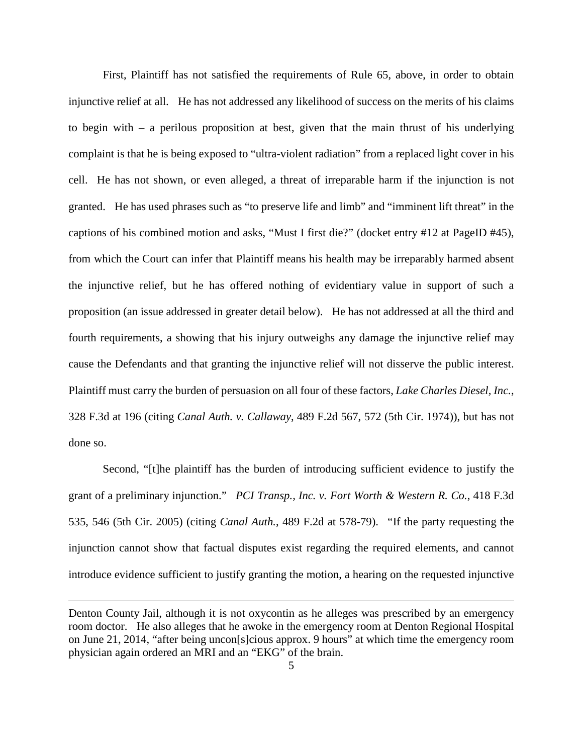First, Plaintiff has not satisfied the requirements of Rule 65, above, in order to obtain injunctive relief at all. He has not addressed any likelihood of success on the merits of his claims to begin with – a perilous proposition at best, given that the main thrust of his underlying complaint is that he is being exposed to "ultra-violent radiation" from a replaced light cover in his cell. He has not shown, or even alleged, a threat of irreparable harm if the injunction is not granted. He has used phrases such as "to preserve life and limb" and "imminent lift threat" in the captions of his combined motion and asks, "Must I first die?" (docket entry #12 at PageID #45), from which the Court can infer that Plaintiff means his health may be irreparably harmed absent the injunctive relief, but he has offered nothing of evidentiary value in support of such a proposition (an issue addressed in greater detail below). He has not addressed at all the third and fourth requirements, a showing that his injury outweighs any damage the injunctive relief may cause the Defendants and that granting the injunctive relief will not disserve the public interest. Plaintiff must carry the burden of persuasion on all four of these factors, *Lake Charles Diesel, Inc.*, 328 F.3d at 196 (citing *Canal Auth. v. Callaway*, 489 F.2d 567, 572 (5th Cir. 1974)), but has not done so.

 Second, "[t]he plaintiff has the burden of introducing sufficient evidence to justify the grant of a preliminary injunction." *PCI Transp., Inc. v. Fort Worth & Western R. Co.*, 418 F.3d 535, 546 (5th Cir. 2005) (citing *Canal Auth.*, 489 F.2d at 578-79). "If the party requesting the injunction cannot show that factual disputes exist regarding the required elements, and cannot introduce evidence sufficient to justify granting the motion, a hearing on the requested injunctive

<u>.</u>

Denton County Jail, although it is not oxycontin as he alleges was prescribed by an emergency room doctor. He also alleges that he awoke in the emergency room at Denton Regional Hospital on June 21, 2014, "after being uncon[s]cious approx. 9 hours" at which time the emergency room physician again ordered an MRI and an "EKG" of the brain.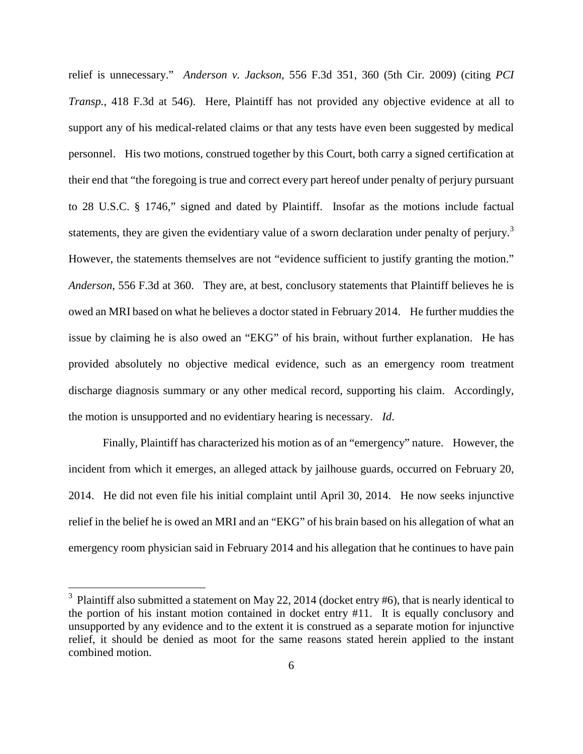relief is unnecessary." *Anderson v. Jackson*, 556 F.3d 351, 360 (5th Cir. 2009) (citing *PCI Transp.*, 418 F.3d at 546). Here, Plaintiff has not provided any objective evidence at all to support any of his medical-related claims or that any tests have even been suggested by medical personnel. His two motions, construed together by this Court, both carry a signed certification at their end that "the foregoing is true and correct every part hereof under penalty of perjury pursuant to 28 U.S.C. § 1746," signed and dated by Plaintiff. Insofar as the motions include factual statements, they are given the evidentiary value of a sworn declaration under penalty of perjury.<sup>[3](#page-5-0)</sup> However, the statements themselves are not "evidence sufficient to justify granting the motion." *Anderson*, 556 F.3d at 360. They are, at best, conclusory statements that Plaintiff believes he is owed an MRI based on what he believes a doctor stated in February 2014. He further muddies the issue by claiming he is also owed an "EKG" of his brain, without further explanation. He has provided absolutely no objective medical evidence, such as an emergency room treatment discharge diagnosis summary or any other medical record, supporting his claim. Accordingly, the motion is unsupported and no evidentiary hearing is necessary. *Id*.

Finally, Plaintiff has characterized his motion as of an "emergency" nature. However, the incident from which it emerges, an alleged attack by jailhouse guards, occurred on February 20, 2014. He did not even file his initial complaint until April 30, 2014. He now seeks injunctive relief in the belief he is owed an MRI and an "EKG" of his brain based on his allegation of what an emergency room physician said in February 2014 and his allegation that he continues to have pain

<span id="page-5-0"></span><sup>&</sup>lt;sup>3</sup> Plaintiff also submitted a statement on May 22, 2014 (docket entry #6), that is nearly identical to the portion of his instant motion contained in docket entry #11. It is equally conclusory and unsupported by any evidence and to the extent it is construed as a separate motion for injunctive relief, it should be denied as moot for the same reasons stated herein applied to the instant combined motion.